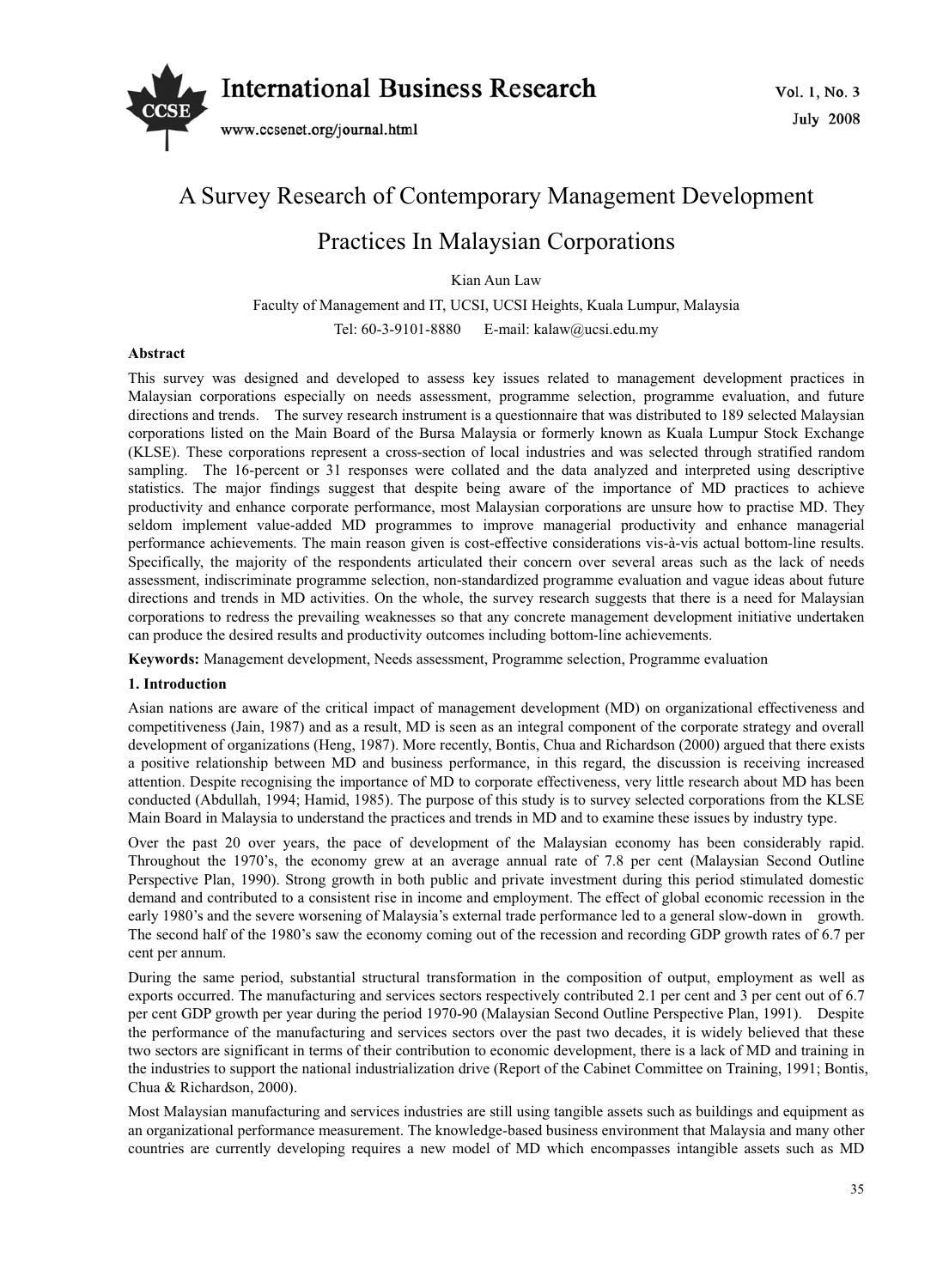

# A Survey Research of Contemporary Management Development

## Practices In Malaysian Corporations

Kian Aun Law

Faculty of Management and IT, UCSI, UCSI Heights, Kuala Lumpur, Malaysia Tel: 60-3-9101-8880 E-mail: kalaw@ucsi.edu.my

## **Abstract**

This survey was designed and developed to assess key issues related to management development practices in Malaysian corporations especially on needs assessment, programme selection, programme evaluation, and future directions and trends. The survey research instrument is a questionnaire that was distributed to 189 selected Malaysian corporations listed on the Main Board of the Bursa Malaysia or formerly known as Kuala Lumpur Stock Exchange (KLSE). These corporations represent a cross-section of local industries and was selected through stratified random sampling. The 16-percent or 31 responses were collated and the data analyzed and interpreted using descriptive statistics. The major findings suggest that despite being aware of the importance of MD practices to achieve productivity and enhance corporate performance, most Malaysian corporations are unsure how to practise MD. They seldom implement value-added MD programmes to improve managerial productivity and enhance managerial performance achievements. The main reason given is cost-effective considerations vis-à-vis actual bottom-line results. Specifically, the majority of the respondents articulated their concern over several areas such as the lack of needs assessment, indiscriminate programme selection, non-standardized programme evaluation and vague ideas about future directions and trends in MD activities. On the whole, the survey research suggests that there is a need for Malaysian corporations to redress the prevailing weaknesses so that any concrete management development initiative undertaken can produce the desired results and productivity outcomes including bottom-line achievements.

**Keywords:** Management development, Needs assessment, Programme selection, Programme evaluation

## **1. Introduction**

Asian nations are aware of the critical impact of management development (MD) on organizational effectiveness and competitiveness (Jain, 1987) and as a result, MD is seen as an integral component of the corporate strategy and overall development of organizations (Heng, 1987). More recently, Bontis, Chua and Richardson (2000) argued that there exists a positive relationship between MD and business performance, in this regard, the discussion is receiving increased attention. Despite recognising the importance of MD to corporate effectiveness, very little research about MD has been conducted (Abdullah, 1994; Hamid, 1985). The purpose of this study is to survey selected corporations from the KLSE Main Board in Malaysia to understand the practices and trends in MD and to examine these issues by industry type.

Over the past 20 over years, the pace of development of the Malaysian economy has been considerably rapid. Throughout the 1970's, the economy grew at an average annual rate of 7.8 per cent (Malaysian Second Outline Perspective Plan, 1990). Strong growth in both public and private investment during this period stimulated domestic demand and contributed to a consistent rise in income and employment. The effect of global economic recession in the early 1980's and the severe worsening of Malaysia's external trade performance led to a general slow-down in growth. The second half of the 1980's saw the economy coming out of the recession and recording GDP growth rates of 6.7 per cent per annum.

During the same period, substantial structural transformation in the composition of output, employment as well as exports occurred. The manufacturing and services sectors respectively contributed 2.1 per cent and 3 per cent out of 6.7 per cent GDP growth per year during the period 1970-90 (Malaysian Second Outline Perspective Plan, 1991). Despite the performance of the manufacturing and services sectors over the past two decades, it is widely believed that these two sectors are significant in terms of their contribution to economic development, there is a lack of MD and training in the industries to support the national industrialization drive (Report of the Cabinet Committee on Training, 1991; Bontis, Chua & Richardson, 2000).

Most Malaysian manufacturing and services industries are still using tangible assets such as buildings and equipment as an organizational performance measurement. The knowledge-based business environment that Malaysia and many other countries are currently developing requires a new model of MD which encompasses intangible assets such as MD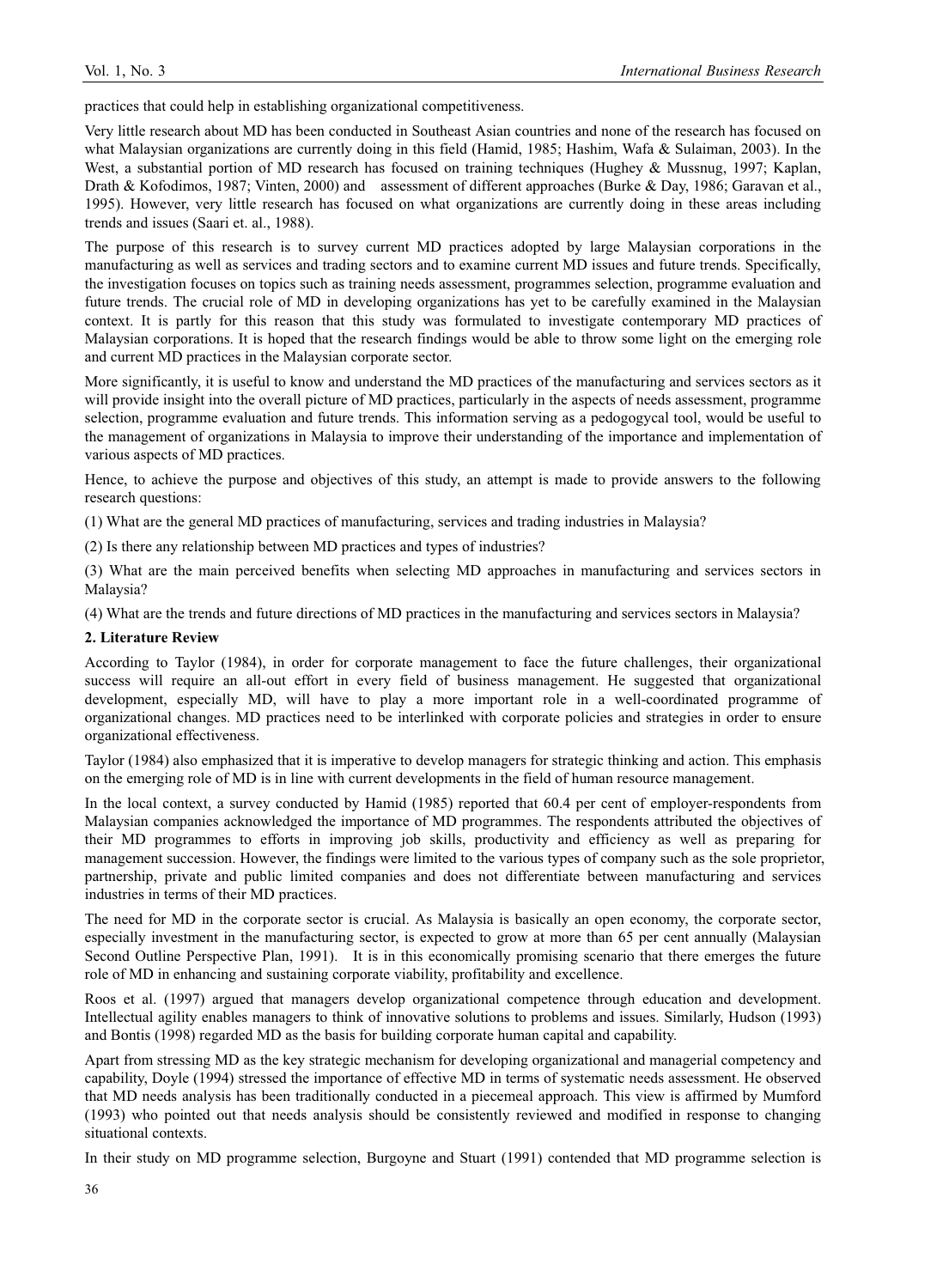practices that could help in establishing organizational competitiveness.

Very little research about MD has been conducted in Southeast Asian countries and none of the research has focused on what Malaysian organizations are currently doing in this field (Hamid, 1985; Hashim, Wafa & Sulaiman, 2003). In the West, a substantial portion of MD research has focused on training techniques (Hughey & Mussnug, 1997; Kaplan, Drath & Kofodimos, 1987; Vinten, 2000) and assessment of different approaches (Burke & Day, 1986; Garavan et al., 1995). However, very little research has focused on what organizations are currently doing in these areas including trends and issues (Saari et. al., 1988).

The purpose of this research is to survey current MD practices adopted by large Malaysian corporations in the manufacturing as well as services and trading sectors and to examine current MD issues and future trends. Specifically, the investigation focuses on topics such as training needs assessment, programmes selection, programme evaluation and future trends. The crucial role of MD in developing organizations has yet to be carefully examined in the Malaysian context. It is partly for this reason that this study was formulated to investigate contemporary MD practices of Malaysian corporations. It is hoped that the research findings would be able to throw some light on the emerging role and current MD practices in the Malaysian corporate sector.

More significantly, it is useful to know and understand the MD practices of the manufacturing and services sectors as it will provide insight into the overall picture of MD practices, particularly in the aspects of needs assessment, programme selection, programme evaluation and future trends. This information serving as a pedogogycal tool, would be useful to the management of organizations in Malaysia to improve their understanding of the importance and implementation of various aspects of MD practices.

Hence, to achieve the purpose and objectives of this study, an attempt is made to provide answers to the following research questions:

(1) What are the general MD practices of manufacturing, services and trading industries in Malaysia?

(2) Is there any relationship between MD practices and types of industries?

(3) What are the main perceived benefits when selecting MD approaches in manufacturing and services sectors in Malaysia?

(4) What are the trends and future directions of MD practices in the manufacturing and services sectors in Malaysia?

#### **2. Literature Review**

According to Taylor (1984), in order for corporate management to face the future challenges, their organizational success will require an all-out effort in every field of business management. He suggested that organizational development, especially MD, will have to play a more important role in a well-coordinated programme of organizational changes. MD practices need to be interlinked with corporate policies and strategies in order to ensure organizational effectiveness.

Taylor (1984) also emphasized that it is imperative to develop managers for strategic thinking and action. This emphasis on the emerging role of MD is in line with current developments in the field of human resource management.

In the local context, a survey conducted by Hamid (1985) reported that 60.4 per cent of employer-respondents from Malaysian companies acknowledged the importance of MD programmes. The respondents attributed the objectives of their MD programmes to efforts in improving job skills, productivity and efficiency as well as preparing for management succession. However, the findings were limited to the various types of company such as the sole proprietor, partnership, private and public limited companies and does not differentiate between manufacturing and services industries in terms of their MD practices.

The need for MD in the corporate sector is crucial. As Malaysia is basically an open economy, the corporate sector, especially investment in the manufacturing sector, is expected to grow at more than 65 per cent annually (Malaysian Second Outline Perspective Plan, 1991). It is in this economically promising scenario that there emerges the future role of MD in enhancing and sustaining corporate viability, profitability and excellence.

Roos et al. (1997) argued that managers develop organizational competence through education and development. Intellectual agility enables managers to think of innovative solutions to problems and issues. Similarly, Hudson (1993) and Bontis (1998) regarded MD as the basis for building corporate human capital and capability.

Apart from stressing MD as the key strategic mechanism for developing organizational and managerial competency and capability, Doyle (1994) stressed the importance of effective MD in terms of systematic needs assessment. He observed that MD needs analysis has been traditionally conducted in a piecemeal approach. This view is affirmed by Mumford (1993) who pointed out that needs analysis should be consistently reviewed and modified in response to changing situational contexts.

In their study on MD programme selection, Burgoyne and Stuart (1991) contended that MD programme selection is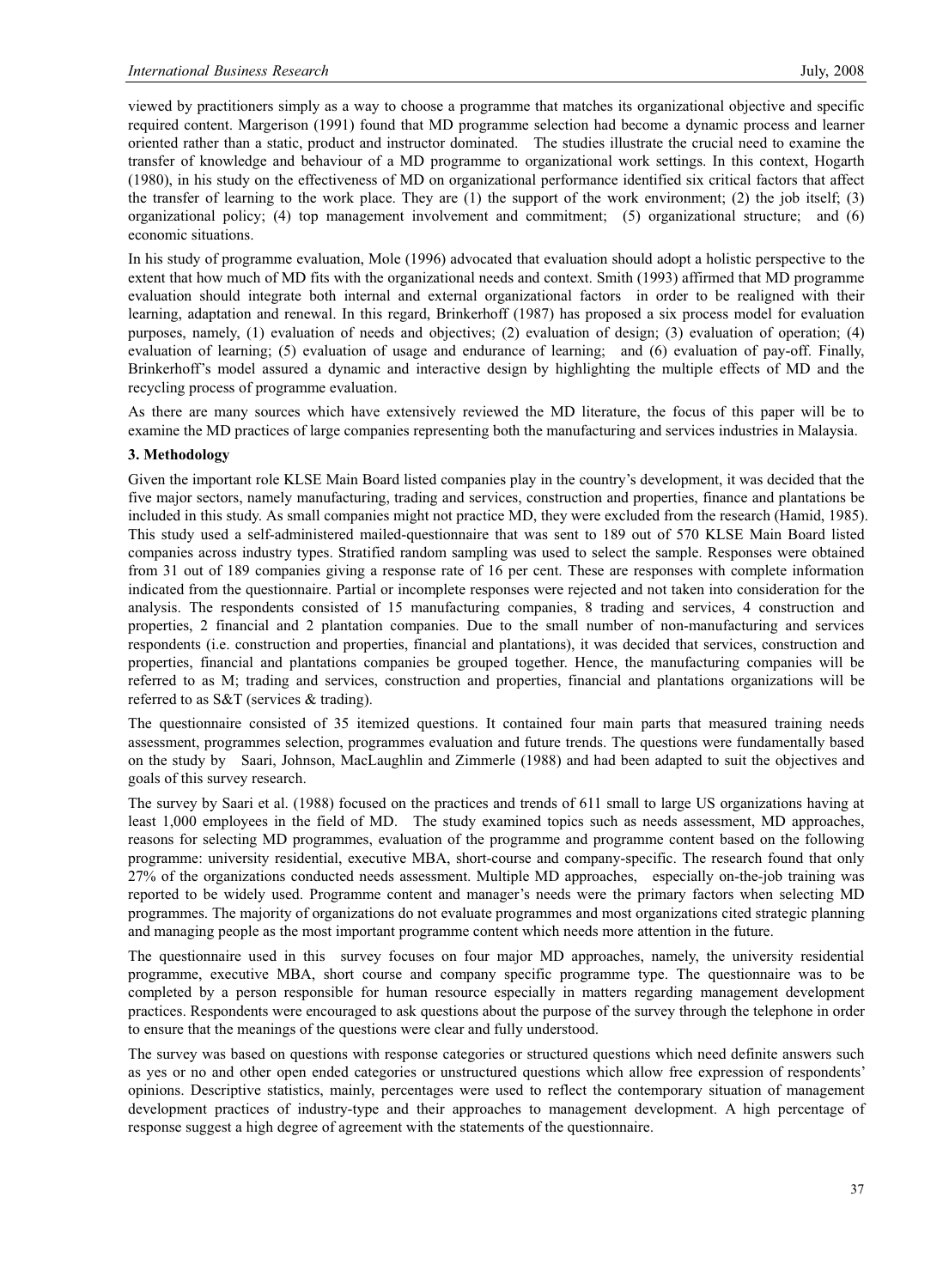viewed by practitioners simply as a way to choose a programme that matches its organizational objective and specific required content. Margerison (1991) found that MD programme selection had become a dynamic process and learner oriented rather than a static, product and instructor dominated. The studies illustrate the crucial need to examine the transfer of knowledge and behaviour of a MD programme to organizational work settings. In this context, Hogarth (1980), in his study on the effectiveness of MD on organizational performance identified six critical factors that affect the transfer of learning to the work place. They are  $(1)$  the support of the work environment;  $(2)$  the job itself;  $(3)$ organizational policy; (4) top management involvement and commitment; (5) organizational structure; and (6) economic situations.

In his study of programme evaluation, Mole (1996) advocated that evaluation should adopt a holistic perspective to the extent that how much of MD fits with the organizational needs and context. Smith (1993) affirmed that MD programme evaluation should integrate both internal and external organizational factors in order to be realigned with their learning, adaptation and renewal. In this regard, Brinkerhoff (1987) has proposed a six process model for evaluation purposes, namely, (1) evaluation of needs and objectives; (2) evaluation of design; (3) evaluation of operation; (4) evaluation of learning; (5) evaluation of usage and endurance of learning; and (6) evaluation of pay-off. Finally, Brinkerhoff's model assured a dynamic and interactive design by highlighting the multiple effects of MD and the recycling process of programme evaluation.

As there are many sources which have extensively reviewed the MD literature, the focus of this paper will be to examine the MD practices of large companies representing both the manufacturing and services industries in Malaysia.

#### **3. Methodology**

Given the important role KLSE Main Board listed companies play in the country's development, it was decided that the five major sectors, namely manufacturing, trading and services, construction and properties, finance and plantations be included in this study. As small companies might not practice MD, they were excluded from the research (Hamid, 1985). This study used a self-administered mailed-questionnaire that was sent to 189 out of 570 KLSE Main Board listed companies across industry types. Stratified random sampling was used to select the sample. Responses were obtained from 31 out of 189 companies giving a response rate of 16 per cent. These are responses with complete information indicated from the questionnaire. Partial or incomplete responses were rejected and not taken into consideration for the analysis. The respondents consisted of 15 manufacturing companies, 8 trading and services, 4 construction and properties, 2 financial and 2 plantation companies. Due to the small number of non-manufacturing and services respondents (i.e. construction and properties, financial and plantations), it was decided that services, construction and properties, financial and plantations companies be grouped together. Hence, the manufacturing companies will be referred to as M; trading and services, construction and properties, financial and plantations organizations will be referred to as S&T (services & trading).

The questionnaire consisted of 35 itemized questions. It contained four main parts that measured training needs assessment, programmes selection, programmes evaluation and future trends. The questions were fundamentally based on the study by Saari, Johnson, MacLaughlin and Zimmerle (1988) and had been adapted to suit the objectives and goals of this survey research.

The survey by Saari et al. (1988) focused on the practices and trends of 611 small to large US organizations having at least 1,000 employees in the field of MD. The study examined topics such as needs assessment, MD approaches, reasons for selecting MD programmes, evaluation of the programme and programme content based on the following programme: university residential, executive MBA, short-course and company-specific. The research found that only 27% of the organizations conducted needs assessment. Multiple MD approaches, especially on-the-job training was reported to be widely used. Programme content and manager's needs were the primary factors when selecting MD programmes. The majority of organizations do not evaluate programmes and most organizations cited strategic planning and managing people as the most important programme content which needs more attention in the future.

The questionnaire used in this survey focuses on four major MD approaches, namely, the university residential programme, executive MBA, short course and company specific programme type. The questionnaire was to be completed by a person responsible for human resource especially in matters regarding management development practices. Respondents were encouraged to ask questions about the purpose of the survey through the telephone in order to ensure that the meanings of the questions were clear and fully understood.

The survey was based on questions with response categories or structured questions which need definite answers such as yes or no and other open ended categories or unstructured questions which allow free expression of respondents' opinions. Descriptive statistics, mainly, percentages were used to reflect the contemporary situation of management development practices of industry-type and their approaches to management development. A high percentage of response suggest a high degree of agreement with the statements of the questionnaire.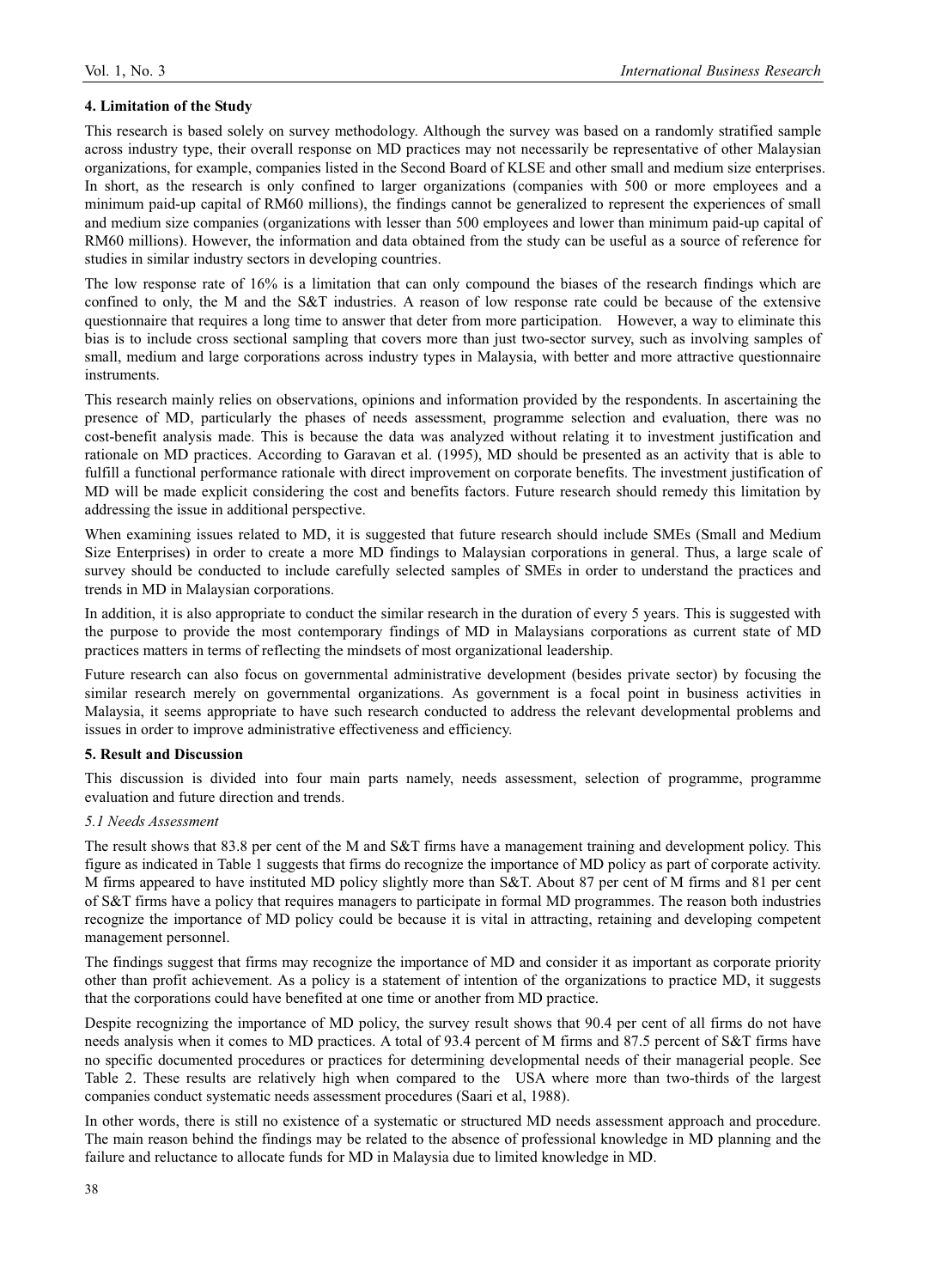## **4. Limitation of the Study**

This research is based solely on survey methodology. Although the survey was based on a randomly stratified sample across industry type, their overall response on MD practices may not necessarily be representative of other Malaysian organizations, for example, companies listed in the Second Board of KLSE and other small and medium size enterprises. In short, as the research is only confined to larger organizations (companies with 500 or more employees and a minimum paid-up capital of RM60 millions), the findings cannot be generalized to represent the experiences of small and medium size companies (organizations with lesser than 500 employees and lower than minimum paid-up capital of RM60 millions). However, the information and data obtained from the study can be useful as a source of reference for studies in similar industry sectors in developing countries.

The low response rate of 16% is a limitation that can only compound the biases of the research findings which are confined to only, the M and the S&T industries. A reason of low response rate could be because of the extensive questionnaire that requires a long time to answer that deter from more participation. However, a way to eliminate this bias is to include cross sectional sampling that covers more than just two-sector survey, such as involving samples of small, medium and large corporations across industry types in Malaysia, with better and more attractive questionnaire **instruments** 

This research mainly relies on observations, opinions and information provided by the respondents. In ascertaining the presence of MD, particularly the phases of needs assessment, programme selection and evaluation, there was no cost-benefit analysis made. This is because the data was analyzed without relating it to investment justification and rationale on MD practices. According to Garavan et al. (1995), MD should be presented as an activity that is able to fulfill a functional performance rationale with direct improvement on corporate benefits. The investment justification of MD will be made explicit considering the cost and benefits factors. Future research should remedy this limitation by addressing the issue in additional perspective.

When examining issues related to MD, it is suggested that future research should include SMEs (Small and Medium Size Enterprises) in order to create a more MD findings to Malaysian corporations in general. Thus, a large scale of survey should be conducted to include carefully selected samples of SMEs in order to understand the practices and trends in MD in Malaysian corporations.

In addition, it is also appropriate to conduct the similar research in the duration of every 5 years. This is suggested with the purpose to provide the most contemporary findings of MD in Malaysians corporations as current state of MD practices matters in terms of reflecting the mindsets of most organizational leadership.

Future research can also focus on governmental administrative development (besides private sector) by focusing the similar research merely on governmental organizations. As government is a focal point in business activities in Malaysia, it seems appropriate to have such research conducted to address the relevant developmental problems and issues in order to improve administrative effectiveness and efficiency.

#### **5. Result and Discussion**

This discussion is divided into four main parts namely, needs assessment, selection of programme, programme evaluation and future direction and trends.

#### *5.1 Needs Assessment*

The result shows that 83.8 per cent of the M and S&T firms have a management training and development policy. This figure as indicated in Table 1 suggests that firms do recognize the importance of MD policy as part of corporate activity. M firms appeared to have instituted MD policy slightly more than S&T. About 87 per cent of M firms and 81 per cent of S&T firms have a policy that requires managers to participate in formal MD programmes. The reason both industries recognize the importance of MD policy could be because it is vital in attracting, retaining and developing competent management personnel.

The findings suggest that firms may recognize the importance of MD and consider it as important as corporate priority other than profit achievement. As a policy is a statement of intention of the organizations to practice MD, it suggests that the corporations could have benefited at one time or another from MD practice.

Despite recognizing the importance of MD policy, the survey result shows that 90.4 per cent of all firms do not have needs analysis when it comes to MD practices. A total of 93.4 percent of M firms and 87.5 percent of S&T firms have no specific documented procedures or practices for determining developmental needs of their managerial people. See Table 2. These results are relatively high when compared to the USA where more than two-thirds of the largest companies conduct systematic needs assessment procedures (Saari et al, 1988).

In other words, there is still no existence of a systematic or structured MD needs assessment approach and procedure. The main reason behind the findings may be related to the absence of professional knowledge in MD planning and the failure and reluctance to allocate funds for MD in Malaysia due to limited knowledge in MD.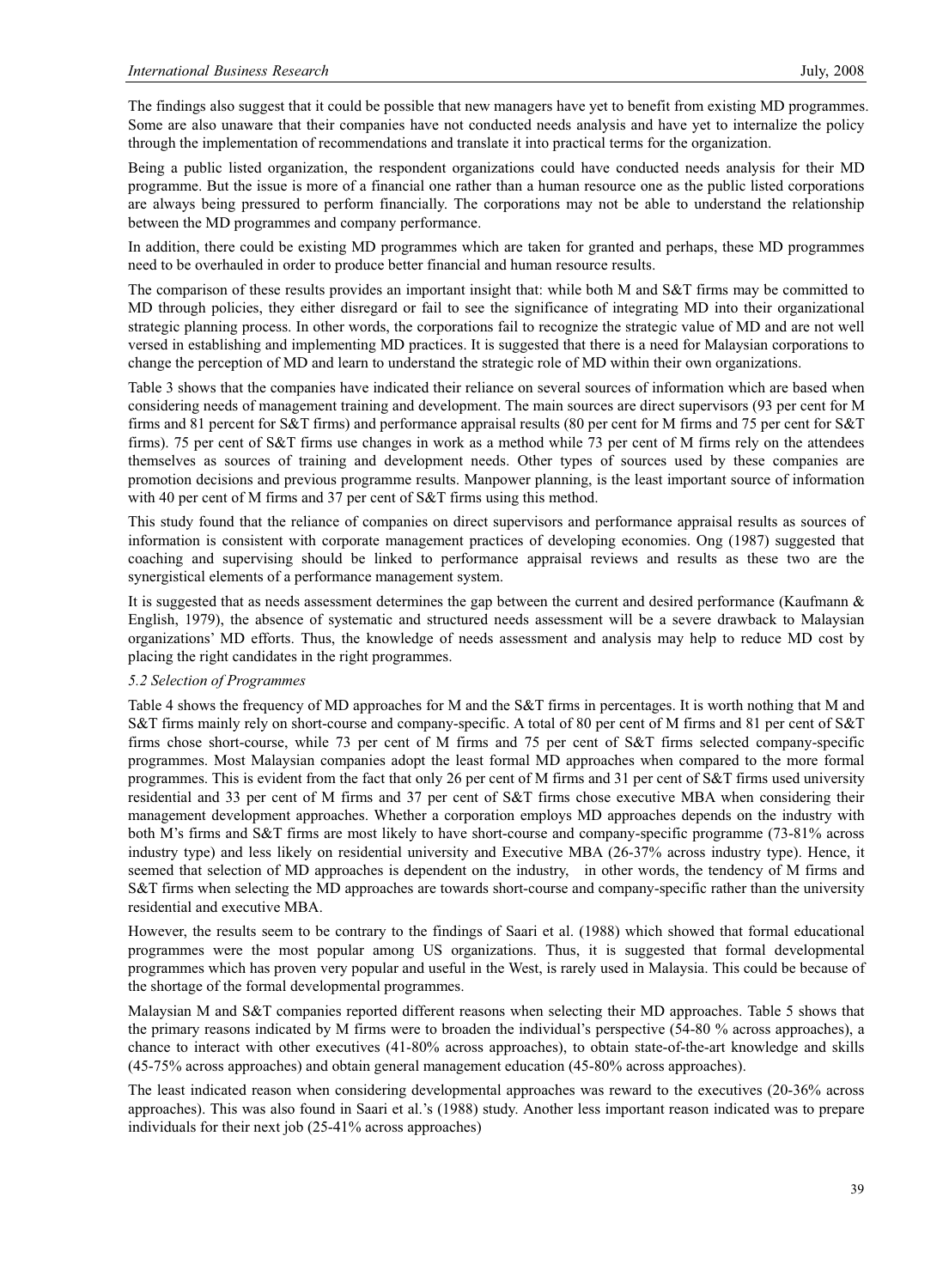The findings also suggest that it could be possible that new managers have yet to benefit from existing MD programmes. Some are also unaware that their companies have not conducted needs analysis and have yet to internalize the policy through the implementation of recommendations and translate it into practical terms for the organization.

Being a public listed organization, the respondent organizations could have conducted needs analysis for their MD programme. But the issue is more of a financial one rather than a human resource one as the public listed corporations are always being pressured to perform financially. The corporations may not be able to understand the relationship between the MD programmes and company performance.

In addition, there could be existing MD programmes which are taken for granted and perhaps, these MD programmes need to be overhauled in order to produce better financial and human resource results.

The comparison of these results provides an important insight that: while both M and S&T firms may be committed to MD through policies, they either disregard or fail to see the significance of integrating MD into their organizational strategic planning process. In other words, the corporations fail to recognize the strategic value of MD and are not well versed in establishing and implementing MD practices. It is suggested that there is a need for Malaysian corporations to change the perception of MD and learn to understand the strategic role of MD within their own organizations.

Table 3 shows that the companies have indicated their reliance on several sources of information which are based when considering needs of management training and development. The main sources are direct supervisors (93 per cent for M firms and 81 percent for S&T firms) and performance appraisal results (80 per cent for M firms and 75 per cent for S&T firms). 75 per cent of S&T firms use changes in work as a method while 73 per cent of M firms rely on the attendees themselves as sources of training and development needs. Other types of sources used by these companies are promotion decisions and previous programme results. Manpower planning, is the least important source of information with 40 per cent of M firms and 37 per cent of S&T firms using this method.

This study found that the reliance of companies on direct supervisors and performance appraisal results as sources of information is consistent with corporate management practices of developing economies. Ong (1987) suggested that coaching and supervising should be linked to performance appraisal reviews and results as these two are the synergistical elements of a performance management system.

It is suggested that as needs assessment determines the gap between the current and desired performance (Kaufmann & English, 1979), the absence of systematic and structured needs assessment will be a severe drawback to Malaysian organizations' MD efforts. Thus, the knowledge of needs assessment and analysis may help to reduce MD cost by placing the right candidates in the right programmes.

## *5.2 Selection of Programmes*

Table 4 shows the frequency of MD approaches for M and the S&T firms in percentages. It is worth nothing that M and S&T firms mainly rely on short-course and company-specific. A total of 80 per cent of M firms and 81 per cent of S&T firms chose short-course, while 73 per cent of M firms and 75 per cent of S&T firms selected company-specific programmes. Most Malaysian companies adopt the least formal MD approaches when compared to the more formal programmes. This is evident from the fact that only 26 per cent of M firms and 31 per cent of S&T firms used university residential and 33 per cent of M firms and 37 per cent of S&T firms chose executive MBA when considering their management development approaches. Whether a corporation employs MD approaches depends on the industry with both M's firms and S&T firms are most likely to have short-course and company-specific programme (73-81% across industry type) and less likely on residential university and Executive MBA (26-37% across industry type). Hence, it seemed that selection of MD approaches is dependent on the industry, in other words, the tendency of M firms and S&T firms when selecting the MD approaches are towards short-course and company-specific rather than the university residential and executive MBA.

However, the results seem to be contrary to the findings of Saari et al. (1988) which showed that formal educational programmes were the most popular among US organizations. Thus, it is suggested that formal developmental programmes which has proven very popular and useful in the West, is rarely used in Malaysia. This could be because of the shortage of the formal developmental programmes.

Malaysian M and S&T companies reported different reasons when selecting their MD approaches. Table 5 shows that the primary reasons indicated by M firms were to broaden the individual's perspective (54-80 % across approaches), a chance to interact with other executives (41-80% across approaches), to obtain state-of-the-art knowledge and skills (45-75% across approaches) and obtain general management education (45-80% across approaches).

The least indicated reason when considering developmental approaches was reward to the executives (20-36% across approaches). This was also found in Saari et al.'s (1988) study. Another less important reason indicated was to prepare individuals for their next job (25-41% across approaches)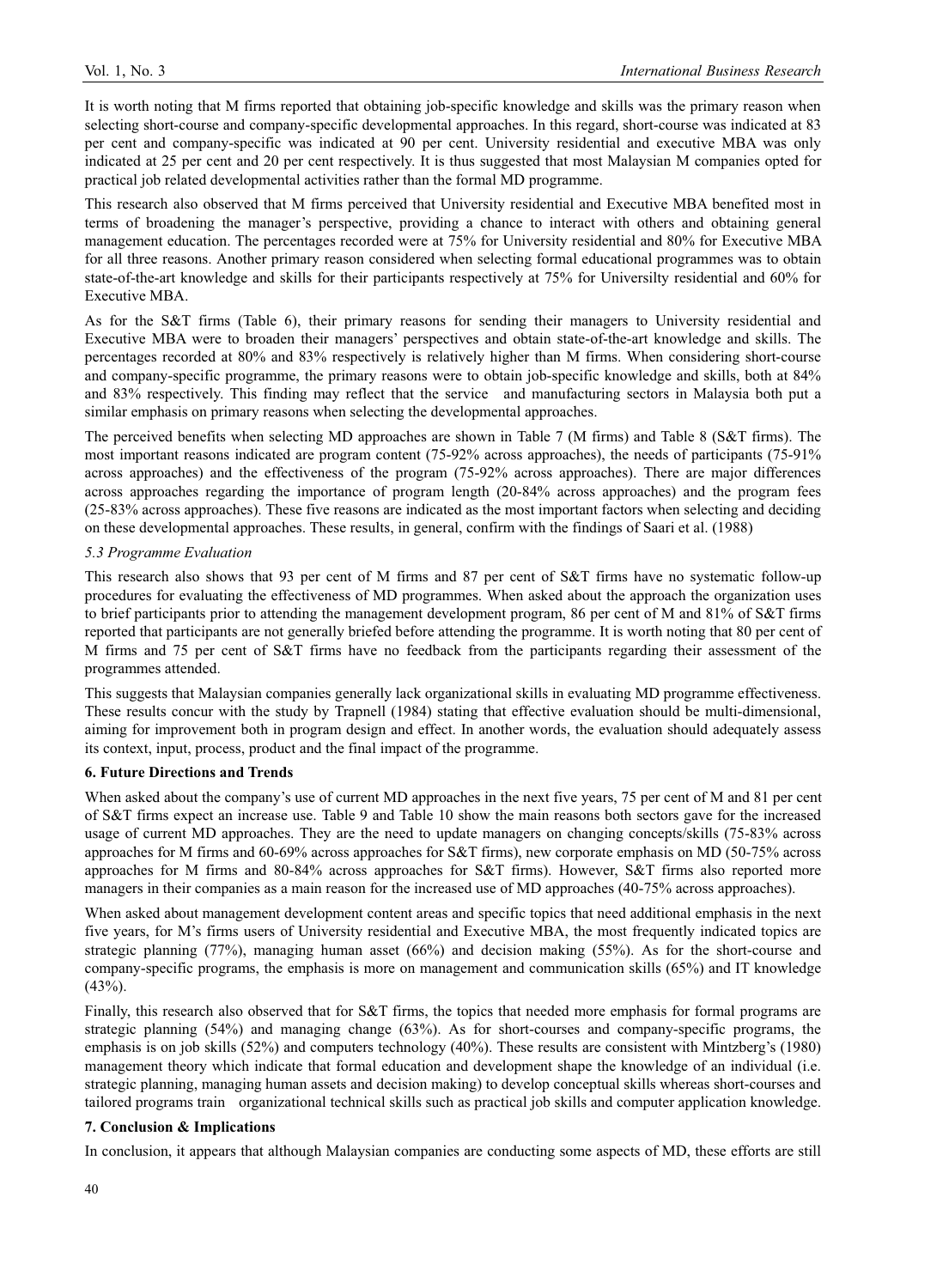It is worth noting that M firms reported that obtaining job-specific knowledge and skills was the primary reason when selecting short-course and company-specific developmental approaches. In this regard, short-course was indicated at 83 per cent and company-specific was indicated at 90 per cent. University residential and executive MBA was only indicated at 25 per cent and 20 per cent respectively. It is thus suggested that most Malaysian M companies opted for practical job related developmental activities rather than the formal MD programme.

This research also observed that M firms perceived that University residential and Executive MBA benefited most in terms of broadening the manager's perspective, providing a chance to interact with others and obtaining general management education. The percentages recorded were at 75% for University residential and 80% for Executive MBA for all three reasons. Another primary reason considered when selecting formal educational programmes was to obtain state-of-the-art knowledge and skills for their participants respectively at 75% for Universilty residential and 60% for Executive MBA.

As for the S&T firms (Table 6), their primary reasons for sending their managers to University residential and Executive MBA were to broaden their managers' perspectives and obtain state-of-the-art knowledge and skills. The percentages recorded at 80% and 83% respectively is relatively higher than M firms. When considering short-course and company-specific programme, the primary reasons were to obtain job-specific knowledge and skills, both at 84% and 83% respectively. This finding may reflect that the service and manufacturing sectors in Malaysia both put a similar emphasis on primary reasons when selecting the developmental approaches.

The perceived benefits when selecting MD approaches are shown in Table 7 (M firms) and Table 8 (S&T firms). The most important reasons indicated are program content (75-92% across approaches), the needs of participants (75-91% across approaches) and the effectiveness of the program (75-92% across approaches). There are major differences across approaches regarding the importance of program length (20-84% across approaches) and the program fees (25-83% across approaches). These five reasons are indicated as the most important factors when selecting and deciding on these developmental approaches. These results, in general, confirm with the findings of Saari et al. (1988)

#### *5.3 Programme Evaluation*

This research also shows that 93 per cent of M firms and 87 per cent of S&T firms have no systematic follow-up procedures for evaluating the effectiveness of MD programmes. When asked about the approach the organization uses to brief participants prior to attending the management development program, 86 per cent of M and 81% of S&T firms reported that participants are not generally briefed before attending the programme. It is worth noting that 80 per cent of M firms and 75 per cent of S&T firms have no feedback from the participants regarding their assessment of the programmes attended.

This suggests that Malaysian companies generally lack organizational skills in evaluating MD programme effectiveness. These results concur with the study by Trapnell (1984) stating that effective evaluation should be multi-dimensional, aiming for improvement both in program design and effect. In another words, the evaluation should adequately assess its context, input, process, product and the final impact of the programme.

#### **6. Future Directions and Trends**

When asked about the company's use of current MD approaches in the next five years, 75 per cent of M and 81 per cent of S&T firms expect an increase use. Table 9 and Table 10 show the main reasons both sectors gave for the increased usage of current MD approaches. They are the need to update managers on changing concepts/skills (75-83% across approaches for M firms and 60-69% across approaches for S&T firms), new corporate emphasis on MD (50-75% across approaches for M firms and 80-84% across approaches for S&T firms). However, S&T firms also reported more managers in their companies as a main reason for the increased use of MD approaches (40-75% across approaches).

When asked about management development content areas and specific topics that need additional emphasis in the next five years, for M's firms users of University residential and Executive MBA, the most frequently indicated topics are strategic planning (77%), managing human asset (66%) and decision making (55%). As for the short-course and company-specific programs, the emphasis is more on management and communication skills (65%) and IT knowledge  $(43%).$ 

Finally, this research also observed that for S&T firms, the topics that needed more emphasis for formal programs are strategic planning (54%) and managing change (63%). As for short-courses and company-specific programs, the emphasis is on job skills (52%) and computers technology (40%). These results are consistent with Mintzberg's (1980) management theory which indicate that formal education and development shape the knowledge of an individual (i.e. strategic planning, managing human assets and decision making) to develop conceptual skills whereas short-courses and tailored programs train organizational technical skills such as practical job skills and computer application knowledge.

## **7. Conclusion & Implications**

In conclusion, it appears that although Malaysian companies are conducting some aspects of MD, these efforts are still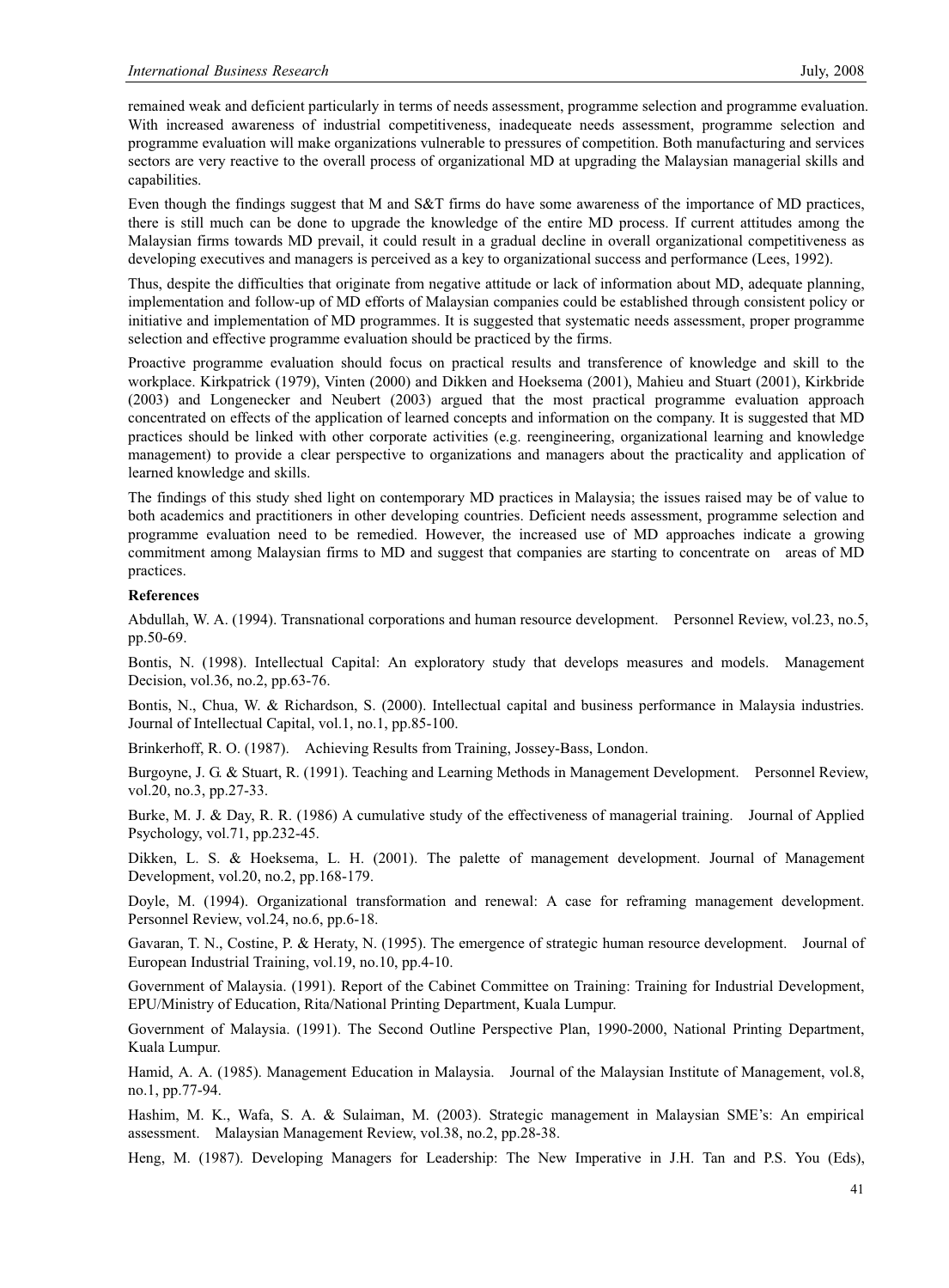remained weak and deficient particularly in terms of needs assessment, programme selection and programme evaluation. With increased awareness of industrial competitiveness, inadequeate needs assessment, programme selection and programme evaluation will make organizations vulnerable to pressures of competition. Both manufacturing and services sectors are very reactive to the overall process of organizational MD at upgrading the Malaysian managerial skills and capabilities.

Even though the findings suggest that M and S&T firms do have some awareness of the importance of MD practices, there is still much can be done to upgrade the knowledge of the entire MD process. If current attitudes among the Malaysian firms towards MD prevail, it could result in a gradual decline in overall organizational competitiveness as developing executives and managers is perceived as a key to organizational success and performance (Lees, 1992).

Thus, despite the difficulties that originate from negative attitude or lack of information about MD, adequate planning, implementation and follow-up of MD efforts of Malaysian companies could be established through consistent policy or initiative and implementation of MD programmes. It is suggested that systematic needs assessment, proper programme selection and effective programme evaluation should be practiced by the firms.

Proactive programme evaluation should focus on practical results and transference of knowledge and skill to the workplace. Kirkpatrick (1979), Vinten (2000) and Dikken and Hoeksema (2001), Mahieu and Stuart (2001), Kirkbride (2003) and Longenecker and Neubert (2003) argued that the most practical programme evaluation approach concentrated on effects of the application of learned concepts and information on the company. It is suggested that MD practices should be linked with other corporate activities (e.g. reengineering, organizational learning and knowledge management) to provide a clear perspective to organizations and managers about the practicality and application of learned knowledge and skills.

The findings of this study shed light on contemporary MD practices in Malaysia; the issues raised may be of value to both academics and practitioners in other developing countries. Deficient needs assessment, programme selection and programme evaluation need to be remedied. However, the increased use of MD approaches indicate a growing commitment among Malaysian firms to MD and suggest that companies are starting to concentrate on areas of MD practices.

#### **References**

Abdullah, W. A. (1994). Transnational corporations and human resource development. Personnel Review, vol.23, no.5, pp.50-69.

Bontis, N. (1998). Intellectual Capital: An exploratory study that develops measures and models. Management Decision, vol.36, no.2, pp.63-76.

Bontis, N., Chua, W. & Richardson, S. (2000). Intellectual capital and business performance in Malaysia industries. Journal of Intellectual Capital, vol.1, no.1, pp.85-100.

Brinkerhoff, R. O. (1987). Achieving Results from Training, Jossey-Bass, London.

Burgoyne, J. G. & Stuart, R. (1991). Teaching and Learning Methods in Management Development. Personnel Review, vol.20, no.3, pp.27-33.

Burke, M. J. & Day, R. R. (1986) A cumulative study of the effectiveness of managerial training. Journal of Applied Psychology, vol.71, pp.232-45.

Dikken, L. S. & Hoeksema, L. H. (2001). The palette of management development. Journal of Management Development, vol.20, no.2, pp.168-179.

Doyle, M. (1994). Organizational transformation and renewal: A case for reframing management development. Personnel Review, vol.24, no.6, pp.6-18.

Gavaran, T. N., Costine, P. & Heraty, N. (1995). The emergence of strategic human resource development. Journal of European Industrial Training, vol.19, no.10, pp.4-10.

Government of Malaysia. (1991). Report of the Cabinet Committee on Training: Training for Industrial Development, EPU/Ministry of Education, Rita/National Printing Department, Kuala Lumpur.

Government of Malaysia. (1991). The Second Outline Perspective Plan, 1990-2000, National Printing Department, Kuala Lumpur.

Hamid, A. A. (1985). Management Education in Malaysia. Journal of the Malaysian Institute of Management, vol.8, no.1, pp.77-94.

Hashim, M. K., Wafa, S. A. & Sulaiman, M. (2003). Strategic management in Malaysian SME's: An empirical assessment. Malaysian Management Review, vol.38, no.2, pp.28-38.

Heng, M. (1987). Developing Managers for Leadership: The New Imperative in J.H. Tan and P.S. You (Eds),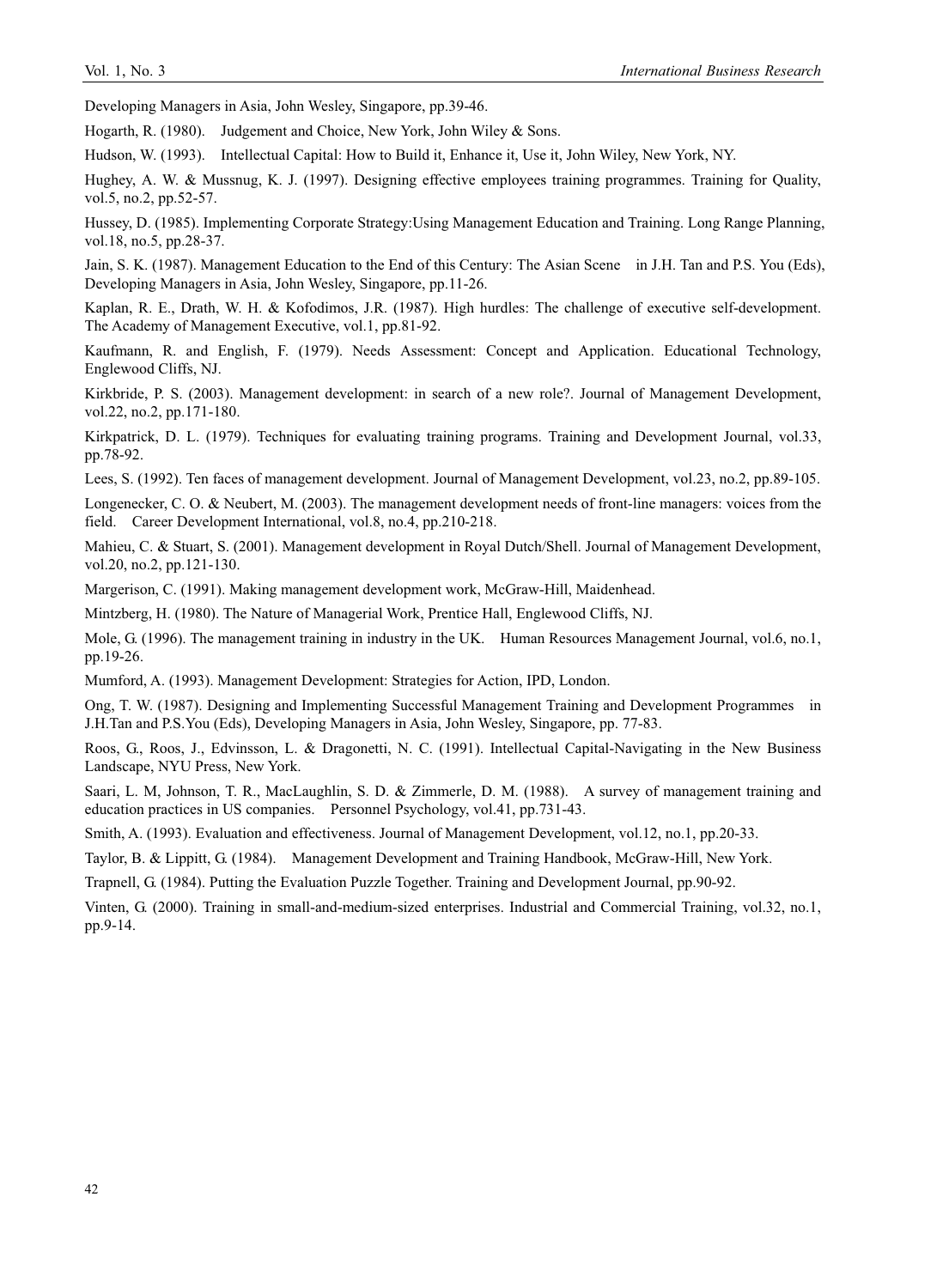Developing Managers in Asia, John Wesley, Singapore, pp.39-46.

Hogarth, R. (1980). Judgement and Choice, New York, John Wiley & Sons.

Hudson, W. (1993). Intellectual Capital: How to Build it, Enhance it, Use it, John Wiley, New York, NY.

Hughey, A. W. & Mussnug, K. J. (1997). Designing effective employees training programmes. Training for Quality, vol.5, no.2, pp.52-57.

Hussey, D. (1985). Implementing Corporate Strategy:Using Management Education and Training. Long Range Planning, vol.18, no.5, pp.28-37.

Jain, S. K. (1987). Management Education to the End of this Century: The Asian Scene in J.H. Tan and P.S. You (Eds), Developing Managers in Asia, John Wesley, Singapore, pp.11-26.

Kaplan, R. E., Drath, W. H. & Kofodimos, J.R. (1987). High hurdles: The challenge of executive self-development. The Academy of Management Executive, vol.1, pp.81-92.

Kaufmann, R. and English, F. (1979). Needs Assessment: Concept and Application. Educational Technology, Englewood Cliffs, NJ.

Kirkbride, P. S. (2003). Management development: in search of a new role?. Journal of Management Development, vol.22, no.2, pp.171-180.

Kirkpatrick, D. L. (1979). Techniques for evaluating training programs. Training and Development Journal, vol.33, pp.78-92.

Lees, S. (1992). Ten faces of management development. Journal of Management Development, vol.23, no.2, pp.89-105.

Longenecker, C. O. & Neubert, M. (2003). The management development needs of front-line managers: voices from the field. Career Development International, vol.8, no.4, pp.210-218.

Mahieu, C. & Stuart, S. (2001). Management development in Royal Dutch/Shell. Journal of Management Development, vol.20, no.2, pp.121-130.

Margerison, C. (1991). Making management development work, McGraw-Hill, Maidenhead.

Mintzberg, H. (1980). The Nature of Managerial Work, Prentice Hall, Englewood Cliffs, NJ.

Mole, G. (1996). The management training in industry in the UK. Human Resources Management Journal, vol.6, no.1, pp.19-26.

Mumford, A. (1993). Management Development: Strategies for Action, IPD, London.

Ong, T. W. (1987). Designing and Implementing Successful Management Training and Development Programmes in J.H.Tan and P.S.You (Eds), Developing Managers in Asia, John Wesley, Singapore, pp. 77-83.

Roos, G., Roos, J., Edvinsson, L. & Dragonetti, N. C. (1991). Intellectual Capital-Navigating in the New Business Landscape, NYU Press, New York.

Saari, L. M, Johnson, T. R., MacLaughlin, S. D. & Zimmerle, D. M. (1988). A survey of management training and education practices in US companies. Personnel Psychology, vol.41, pp.731-43.

Smith, A. (1993). Evaluation and effectiveness. Journal of Management Development, vol.12, no.1, pp.20-33.

Taylor, B. & Lippitt, G. (1984). Management Development and Training Handbook, McGraw-Hill, New York.

Trapnell, G. (1984). Putting the Evaluation Puzzle Together. Training and Development Journal, pp.90-92.

Vinten, G. (2000). Training in small-and-medium-sized enterprises. Industrial and Commercial Training, vol.32, no.1, pp.9-14.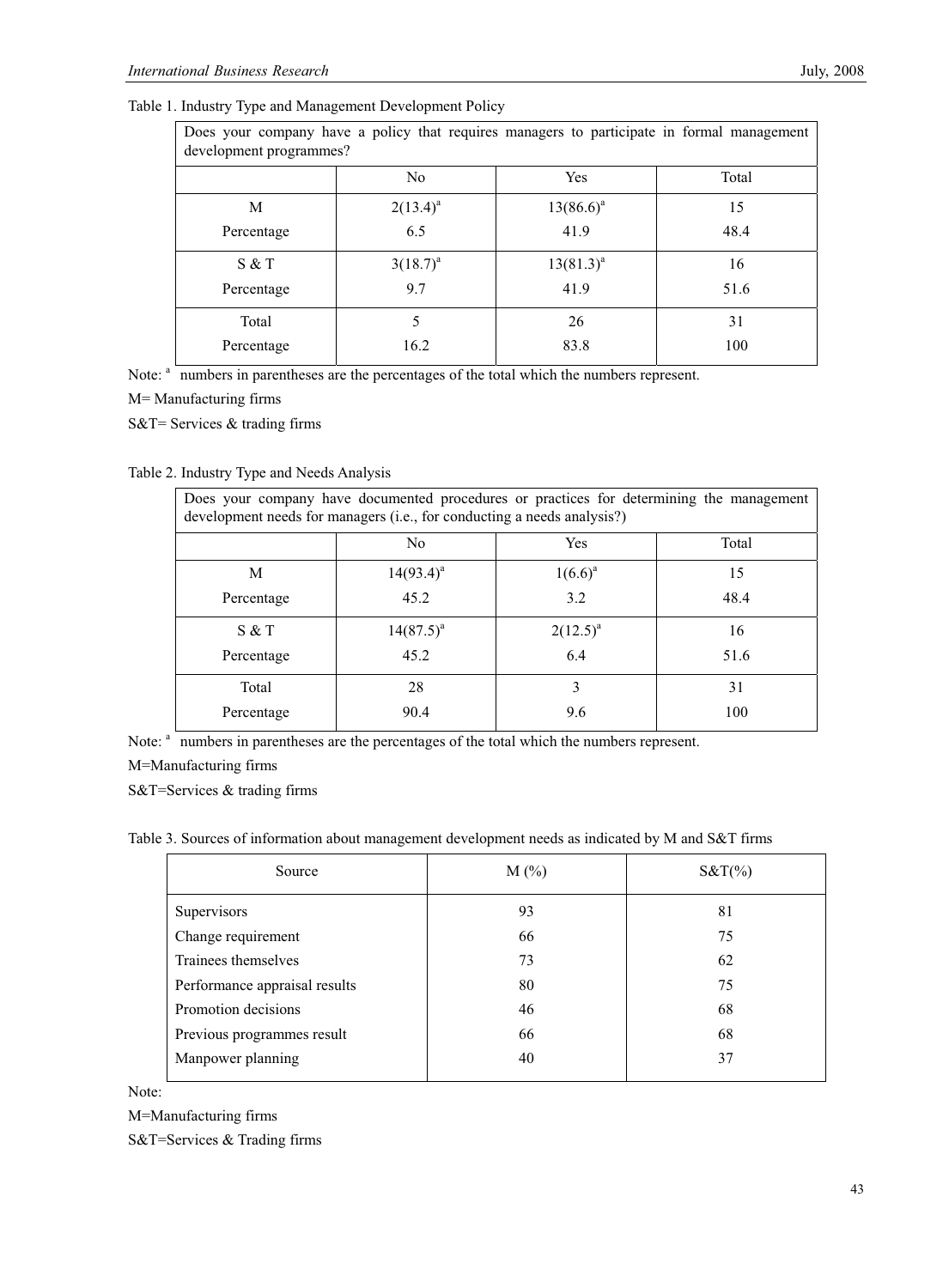|  | Table 1. Industry Type and Management Development Policy |  |  |
|--|----------------------------------------------------------|--|--|
|  |                                                          |  |  |

| Does your company have a policy that requires managers to participate in formal management<br>development programmes? |                |                |       |  |  |
|-----------------------------------------------------------------------------------------------------------------------|----------------|----------------|-------|--|--|
|                                                                                                                       | N <sub>0</sub> | Yes            | Total |  |  |
| M                                                                                                                     | $2(13.4)^a$    | $13(86.6)^a$   | 15    |  |  |
| Percentage                                                                                                            | 6.5            | 41.9           | 48.4  |  |  |
| S & T                                                                                                                 | $3(18.7)^{a}$  | $13(81.3)^{a}$ | 16    |  |  |
| Percentage                                                                                                            | 9.7            | 41.9           | 51.6  |  |  |
| Total                                                                                                                 | 5              | 26             | 31    |  |  |
| Percentage                                                                                                            | 16.2           | 83.8           | 100   |  |  |

Note: <sup>a</sup> numbers in parentheses are the percentages of the total which the numbers represent.

M= Manufacturing firms

S&T= Services & trading firms

## Table 2. Industry Type and Needs Analysis

| Does your company have documented procedures or practices for determining the management<br>development needs for managers (i.e., for conducting a needs analysis?) |                |               |       |  |
|---------------------------------------------------------------------------------------------------------------------------------------------------------------------|----------------|---------------|-------|--|
|                                                                                                                                                                     | No.            | <b>Yes</b>    | Total |  |
| M                                                                                                                                                                   | $14(93.4)^{a}$ | $1(6.6)^a$    | 15    |  |
| Percentage                                                                                                                                                          | 45.2           | 3.2           | 48.4  |  |
| S & T                                                                                                                                                               | $14(87.5)^{a}$ | $2(12.5)^{a}$ | 16    |  |
| Percentage                                                                                                                                                          | 45.2           | 6.4           | 51.6  |  |
| Total                                                                                                                                                               | 28             | 3             | 31    |  |
| Percentage                                                                                                                                                          | 90.4           | 9.6           | 100   |  |

Note: <sup>a</sup> numbers in parentheses are the percentages of the total which the numbers represent.

M=Manufacturing firms

S&T=Services & trading firms

Table 3. Sources of information about management development needs as indicated by M and S&T firms

| Source                        | $M(\%)$ | $S&T(\%)$ |
|-------------------------------|---------|-----------|
| Supervisors                   | 93      | 81        |
| Change requirement            | 66      | 75        |
| Trainees themselves           | 73      | 62        |
| Performance appraisal results | 80      | 75        |
| Promotion decisions           | 46      | 68        |
| Previous programmes result    | 66      | 68        |
| Manpower planning             | 40      | 37        |
|                               |         |           |

Note:

M=Manufacturing firms

S&T=Services & Trading firms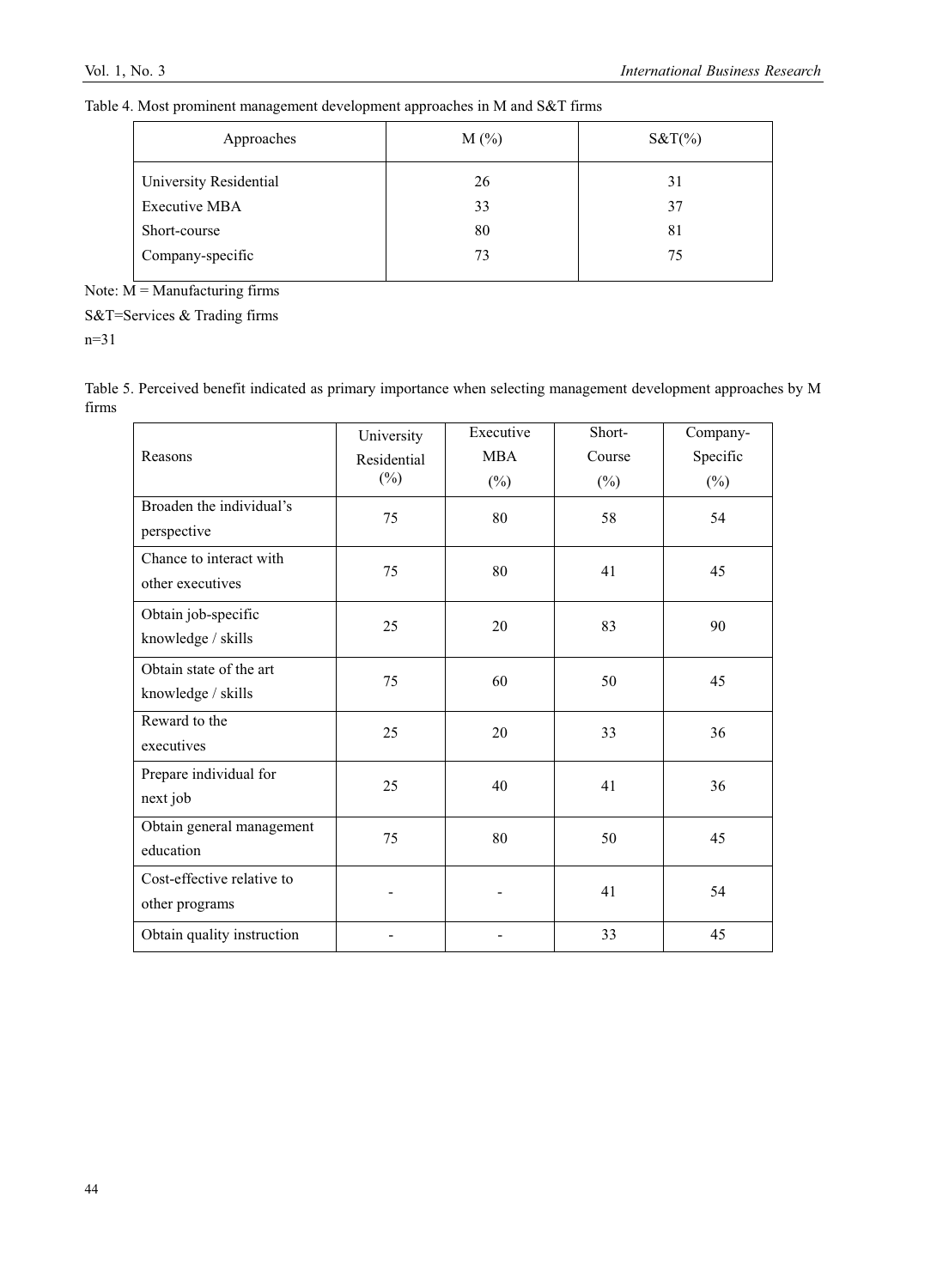| Table 4. Most prominent management development approaches in M and S&T firms |  |  |
|------------------------------------------------------------------------------|--|--|
|                                                                              |  |  |

| $M(\%)$ | $S&T(\%)$ |
|---------|-----------|
| 26      | 31        |
| 33      | 37        |
| 80      | 81        |
| 73      | 75        |
|         |           |

Note:  $M =$ Manufacturing firms

S&T=Services & Trading firms

n=31

| Table 5. Perceived benefit indicated as primary importance when selecting management development approaches by M |  |  |
|------------------------------------------------------------------------------------------------------------------|--|--|
| firms                                                                                                            |  |  |

| Reasons                                       | University<br>Residential    | Executive<br><b>MBA</b> | Short-<br>Course | Company-<br>Specific |
|-----------------------------------------------|------------------------------|-------------------------|------------------|----------------------|
|                                               | $(\%)$                       | $(\%)$                  | $(\%)$           | $(\%)$               |
| Broaden the individual's<br>perspective       | 75                           | 80                      | 58               | 54                   |
| Chance to interact with<br>other executives   | 75                           | 80                      | 41               | 45                   |
| Obtain job-specific<br>knowledge / skills     | 25                           | 20                      | 83               | 90                   |
| Obtain state of the art<br>knowledge / skills | 75                           | 60                      | 50               | 45                   |
| Reward to the<br>executives                   | 25                           | 20                      | 33               | 36                   |
| Prepare individual for<br>next job            | 25                           | 40                      | 41               | 36                   |
| Obtain general management<br>education        | 75                           | 80                      | 50               | 45                   |
| Cost-effective relative to<br>other programs  |                              |                         | 41               | 54                   |
| Obtain quality instruction                    | $\qquad \qquad \blacksquare$ |                         | 33               | 45                   |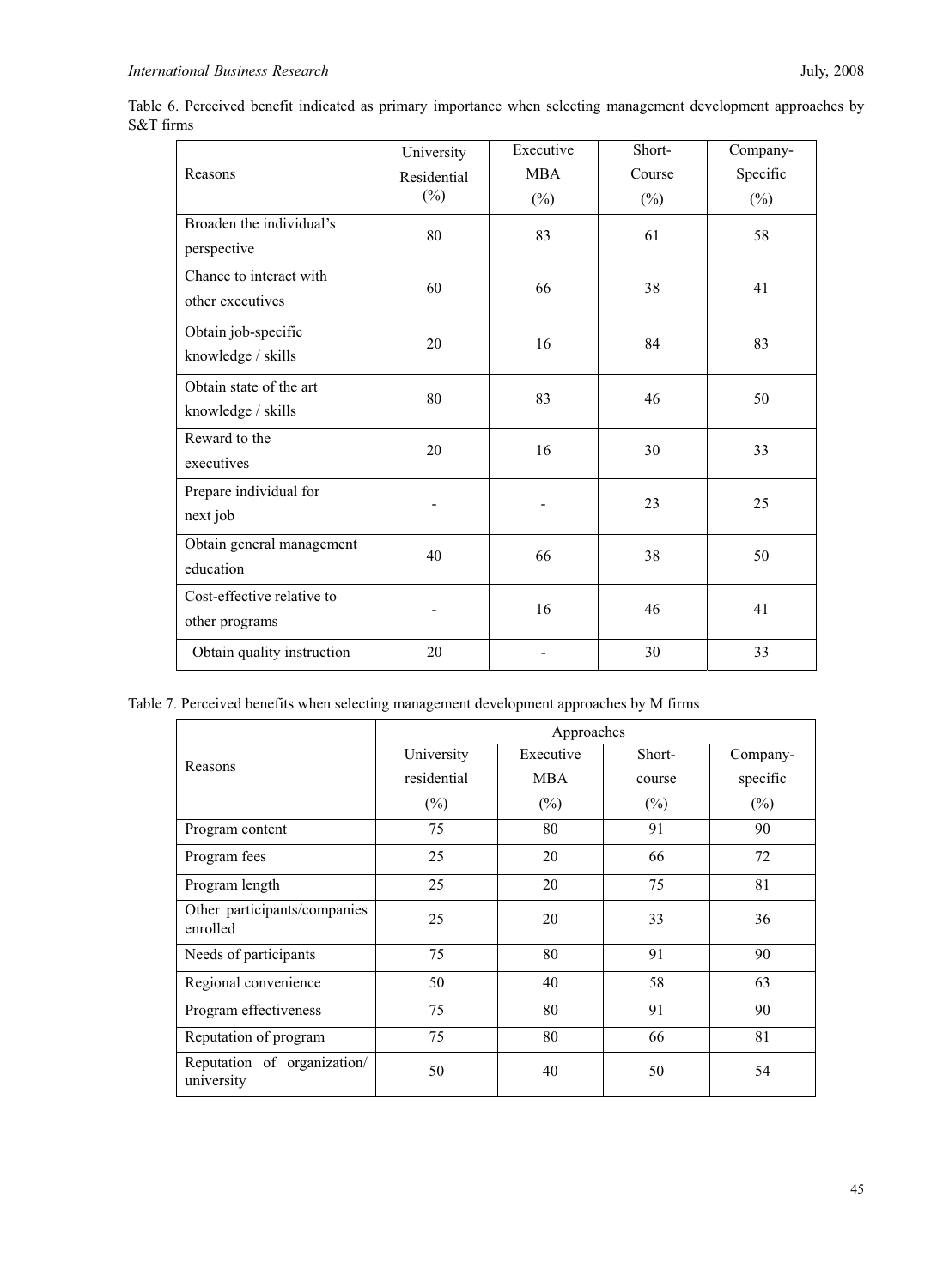|                            | University  | Executive | Short- | Company- |
|----------------------------|-------------|-----------|--------|----------|
| Reasons                    | Residential | MBA       | Course | Specific |
|                            | $(\%)$      | $(\%)$    | $(\%)$ | $(\%)$   |
| Broaden the individual's   | 80          | 83        | 61     | 58       |
| perspective                |             |           |        |          |
| Chance to interact with    | 60          | 66        | 38     | 41       |
| other executives           |             |           |        |          |
| Obtain job-specific        | 20          | 16        | 84     | 83       |
| knowledge / skills         |             |           |        |          |
| Obtain state of the art    | 80          | 83        | 46     | 50       |
| knowledge / skills         |             |           |        |          |
| Reward to the              | 20          | 16        | 30     | 33       |
| executives                 |             |           |        |          |
| Prepare individual for     |             |           | 23     | 25       |
| next job                   |             |           |        |          |
| Obtain general management  | 40          | 66        | 38     | 50       |
| education                  |             |           |        |          |
| Cost-effective relative to |             | 16        | 46     | 41       |
| other programs             |             |           |        |          |
| Obtain quality instruction | 20          |           | 30     | 33       |

Table 6. Perceived benefit indicated as primary importance when selecting management development approaches by S&T firms

Table 7. Perceived benefits when selecting management development approaches by M firms

|                                           |             | Approaches |        |          |
|-------------------------------------------|-------------|------------|--------|----------|
| Reasons                                   | University  | Executive  | Short- | Company- |
|                                           | residential | <b>MBA</b> | course | specific |
|                                           | $(\%)$      | $(\%)$     | $(\%)$ | $(\%)$   |
| Program content                           | 75          | 80         | 91     | 90       |
| Program fees                              | 25          | 20         | 66     | 72       |
| Program length                            | 25          | 20         | 75     | 81       |
| Other participants/companies<br>enrolled  | 25          | 20         | 33     | 36       |
| Needs of participants                     | 75          | 80         | 91     | 90       |
| Regional convenience                      | 50          | 40         | 58     | 63       |
| Program effectiveness                     | 75          | 80         | 91     | 90       |
| Reputation of program                     | 75          | 80         | 66     | 81       |
| Reputation of organization/<br>university | 50          | 40         | 50     | 54       |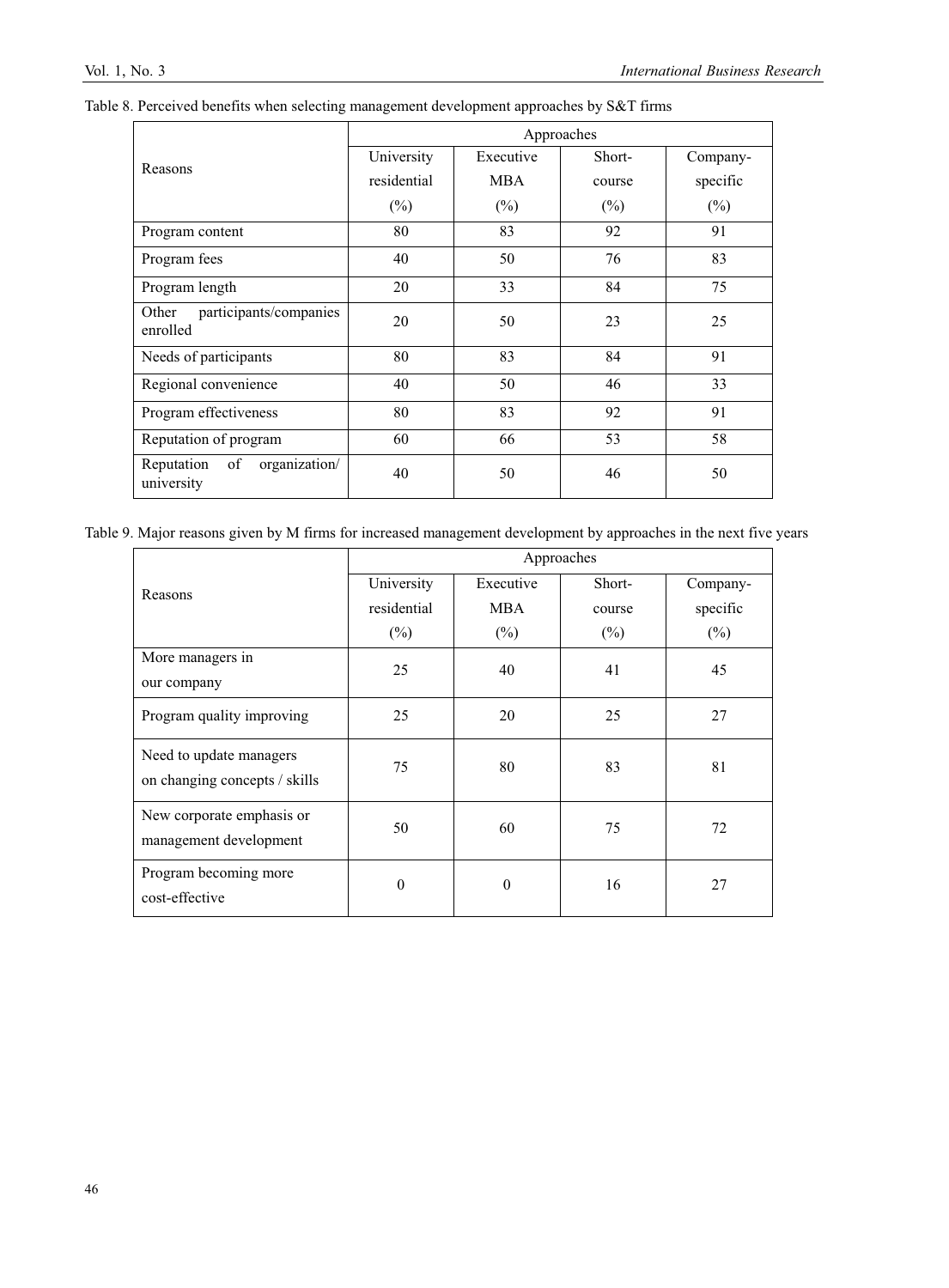|                                                 | Approaches     |           |        |          |  |  |
|-------------------------------------------------|----------------|-----------|--------|----------|--|--|
| Reasons                                         | University     | Executive | Short- | Company- |  |  |
|                                                 | residential    | MBA       | course | specific |  |  |
|                                                 | $(\%)$         | $(\%)$    | $(\%)$ | $(\%)$   |  |  |
| Program content                                 | 80             | 83        | 92     | 91       |  |  |
| Program fees                                    | 40             | 50        | 76     | 83       |  |  |
| Program length                                  | 20             | 33<br>84  |        | 75       |  |  |
| participants/companies<br>Other<br>enrolled     | 20             | 50<br>23  |        | 25       |  |  |
| Needs of participants                           | 83<br>80<br>84 |           |        | 91       |  |  |
| Regional convenience                            | 40             | 50        |        | 33       |  |  |
| Program effectiveness                           | 80             | 83        |        | 91       |  |  |
| Reputation of program                           | 60             | 66        | 53     | 58       |  |  |
| organization/<br>Reputation<br>of<br>university | 40             | 50        | 46     | 50       |  |  |

|  | Table 8. Perceived benefits when selecting management development approaches by S&T firms |  |  |
|--|-------------------------------------------------------------------------------------------|--|--|
|  |                                                                                           |  |  |

Table 9. Major reasons given by M firms for increased management development by approaches in the next five years

|                                                          | Approaches  |            |        |          |  |
|----------------------------------------------------------|-------------|------------|--------|----------|--|
| Reasons                                                  | University  | Executive  | Short- | Company- |  |
|                                                          | residential | <b>MBA</b> | course | specific |  |
|                                                          | $(\%)$      | $(\%)$     | $(\%)$ | $(\%)$   |  |
| More managers in                                         | 25          | 40         | 41     | 45       |  |
| our company                                              |             |            |        |          |  |
| Program quality improving                                | 25          | 20         | 25     | 27       |  |
| Need to update managers<br>on changing concepts / skills | 75          | 80         | 83     | 81       |  |
| New corporate emphasis or<br>management development      | 50          | 60         | 75     | 72       |  |
| Program becoming more<br>cost-effective                  | $\Omega$    | $\theta$   | 16     | 27       |  |